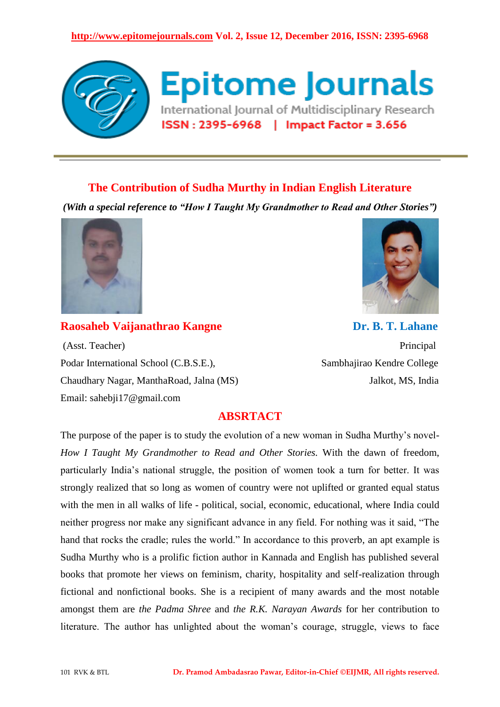

# **The Contribution of Sudha Murthy in Indian English Literature**

*(With a special reference to "How I Taught My Grandmother to Read and Other Stories")*



(Asst. Teacher) Principal Podar International School (C.B.S.E.), **Sambhajirao Kendre College** Chaudhary Nagar, ManthaRoad, Jalna (MS) Jalkot, MS, India Email: sahebji17@gmail.com

**Raosaheb Vaijanathrao Kangne Dr. B. T. Lahane** 

# **ABSRTACT**

The purpose of the paper is to study the evolution of a new woman in Sudha Murthy"s novel-*How I Taught My Grandmother to Read and Other Stories.* With the dawn of freedom, particularly India"s national struggle, the position of women took a turn for better. It was strongly realized that so long as women of country were not uplifted or granted equal status with the men in all walks of life - political, social, economic, educational, where India could neither progress nor make any significant advance in any field. For nothing was it said, "The hand that rocks the cradle; rules the world." In accordance to this proverb, an apt example is Sudha Murthy who is a prolific fiction author in Kannada and English has published several books that promote her views on feminism, charity, hospitality and self-realization through fictional and nonfictional books. She is a recipient of many awards and the most notable amongst them are *the Padma Shree* and *the R.K. Narayan Awards* for her contribution to literature. The author has unlighted about the woman's courage, struggle, views to face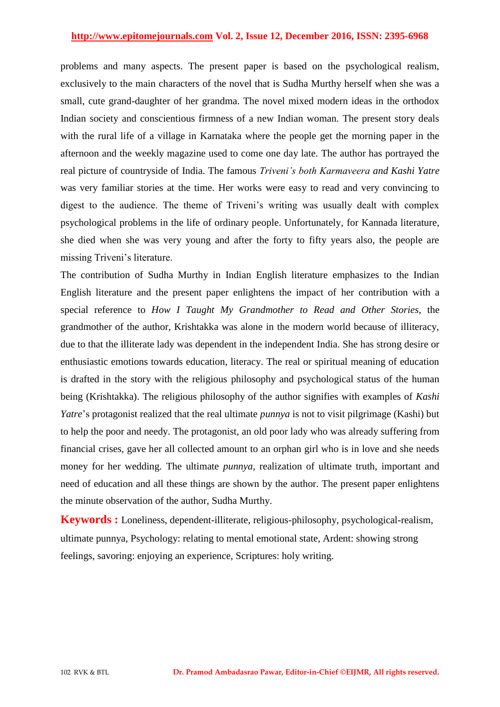problems and many aspects. The present paper is based on the psychological realism, exclusively to the main characters of the novel that is Sudha Murthy herself when she was a small, cute grand-daughter of her grandma. The novel mixed modern ideas in the orthodox Indian society and conscientious firmness of a new Indian woman. The present story deals with the rural life of a village in Karnataka where the people get the morning paper in the afternoon and the weekly magazine used to come one day late. The author has portrayed the real picture of countryside of India. The famous *Triveni's both Karmaveera and Kashi Yatre* was very familiar stories at the time. Her works were easy to read and very convincing to digest to the audience. The theme of Triveni's writing was usually dealt with complex psychological problems in the life of ordinary people. Unfortunately, for Kannada literature, she died when she was very young and after the forty to fifty years also, the people are missing Triveni"s literature.

The contribution of Sudha Murthy in Indian English literature emphasizes to the Indian English literature and the present paper enlightens the impact of her contribution with a special reference to *How I Taught My Grandmother to Read and Other Stories*, the grandmother of the author, Krishtakka was alone in the modern world because of illiteracy, due to that the illiterate lady was dependent in the independent India. She has strong desire or enthusiastic emotions towards education, literacy. The real or spiritual meaning of education is drafted in the story with the religious philosophy and psychological status of the human being (Krishtakka). The religious philosophy of the author signifies with examples of *Kashi Yatre*"s protagonist realized that the real ultimate *punnya* is not to visit pilgrimage (Kashi) but to help the poor and needy. The protagonist, an old poor lady who was already suffering from financial crises, gave her all collected amount to an orphan girl who is in love and she needs money for her wedding. The ultimate *punnya*, realization of ultimate truth, important and need of education and all these things are shown by the author. The present paper enlightens the minute observation of the author, Sudha Murthy.

**Keywords :** Loneliness, dependent-illiterate, religious-philosophy, psychological-realism, ultimate punnya, Psychology: relating to mental emotional state, Ardent: showing strong feelings, savoring: enjoying an experience, Scriptures: holy writing.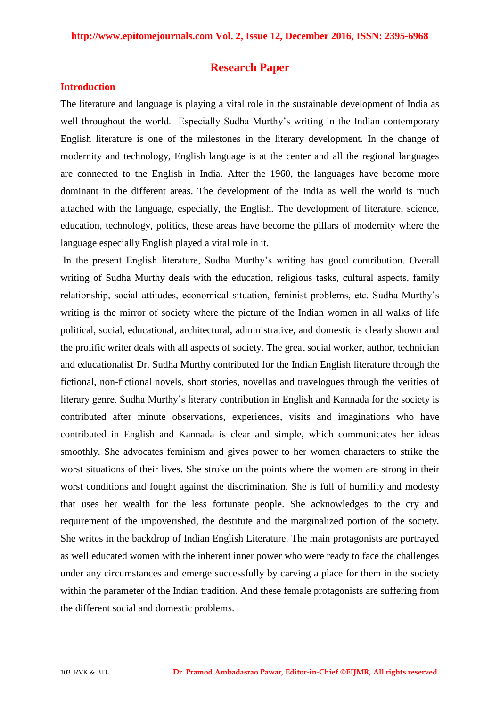### **Research Paper**

#### **Introduction**

The literature and language is playing a vital role in the sustainable development of India as well throughout the world. Especially Sudha Murthy's writing in the Indian contemporary English literature is one of the milestones in the literary development. In the change of modernity and technology, English language is at the center and all the regional languages are connected to the English in India. After the 1960, the languages have become more dominant in the different areas. The development of the India as well the world is much attached with the language, especially, the English. The development of literature, science, education, technology, politics, these areas have become the pillars of modernity where the language especially English played a vital role in it.

In the present English literature, Sudha Murthy"s writing has good contribution. Overall writing of Sudha Murthy deals with the education, religious tasks, cultural aspects, family relationship, social attitudes, economical situation, feminist problems, etc. Sudha Murthy"s writing is the mirror of society where the picture of the Indian women in all walks of life political, social, educational, architectural, administrative, and domestic is clearly shown and the prolific writer deals with all aspects of society. The great social worker, author, technician and educationalist Dr. Sudha Murthy contributed for the Indian English literature through the fictional, non-fictional novels, short stories, novellas and travelogues through the verities of literary genre. Sudha Murthy"s literary contribution in English and Kannada for the society is contributed after minute observations, experiences, visits and imaginations who have contributed in English and Kannada is clear and simple, which communicates her ideas smoothly. She advocates feminism and gives power to her women characters to strike the worst situations of their lives. She stroke on the points where the women are strong in their worst conditions and fought against the discrimination. She is full of humility and modesty that uses her wealth for the less fortunate people. She acknowledges to the cry and requirement of the impoverished, the destitute and the marginalized portion of the society. She writes in the backdrop of Indian English Literature. The main protagonists are portrayed as well educated women with the inherent inner power who were ready to face the challenges under any circumstances and emerge successfully by carving a place for them in the society within the parameter of the Indian tradition. And these female protagonists are suffering from the different social and domestic problems.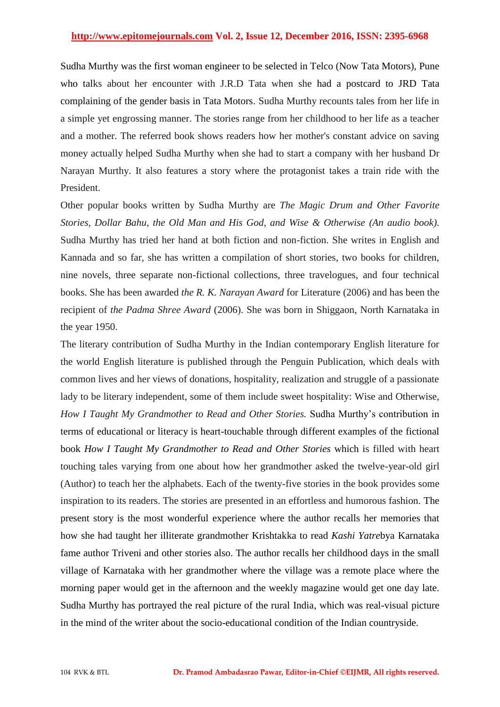Sudha Murthy was the first woman engineer to be selected in Telco (Now Tata Motors), Pune who talks about her encounter with J.R.D Tata when she had a postcard to JRD Tata complaining of the gender basis in Tata Motors. Sudha Murthy recounts tales from her life in a simple yet engrossing manner. The stories range from her childhood to her life as a teacher and a mother. The referred book shows readers how her mother's constant advice on saving money actually helped Sudha Murthy when she had to start a company with her husband Dr Narayan Murthy. It also features a story where the protagonist takes a train ride with the President.

Other popular books written by Sudha Murthy are *The Magic Drum and Other Favorite Stories, Dollar Bahu, the Old Man and His God, and Wise & Otherwise (An audio book)*. Sudha Murthy has tried her hand at both fiction and non-fiction. She writes in English and Kannada and so far, she has written a compilation of short stories, two books for children, nine novels, three separate non-fictional collections, three travelogues, and four technical books. She has been awarded *the R. K. Narayan Award* for Literature (2006) and has been the recipient of *the Padma Shree Award* (2006). She was born in Shiggaon, North Karnataka in the year 1950.

The literary contribution of Sudha Murthy in the Indian contemporary English literature for the world English literature is published through the Penguin Publication, which deals with common lives and her views of donations, hospitality, realization and struggle of a passionate lady to be literary independent, some of them include sweet hospitality: Wise and Otherwise, *How I Taught My Grandmother to Read and Other Stories.* Sudha Murthy"s contribution in terms of educational or literacy is heart-touchable through different examples of the fictional book *How I Taught My Grandmother to Read and Other Stories* which is filled with heart touching tales varying from one about how her grandmother asked the twelve-year-old girl (Author) to teach her the alphabets. Each of the twenty-five stories in the book provides some inspiration to its readers. The stories are presented in an effortless and humorous fashion. The present story is the most wonderful experience where the author recalls her memories that how she had taught her illiterate grandmother Krishtakka to read *Kashi Yatre*bya Karnataka fame author Triveni and other stories also. The author recalls her childhood days in the small village of Karnataka with her grandmother where the village was a remote place where the morning paper would get in the afternoon and the weekly magazine would get one day late. Sudha Murthy has portrayed the real picture of the rural India, which was real-visual picture in the mind of the writer about the socio-educational condition of the Indian countryside.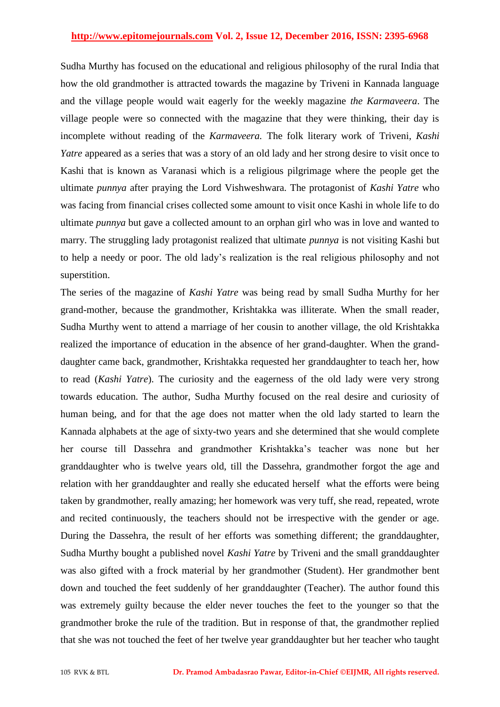Sudha Murthy has focused on the educational and religious philosophy of the rural India that how the old grandmother is attracted towards the magazine by Triveni in Kannada language and the village people would wait eagerly for the weekly magazine *the Karmaveera*. The village people were so connected with the magazine that they were thinking, their day is incomplete without reading of the *Karmaveera.* The folk literary work of Triveni*, Kashi Yatre* appeared as a series that was a story of an old lady and her strong desire to visit once to Kashi that is known as Varanasi which is a religious pilgrimage where the people get the ultimate *punnya* after praying the Lord Vishweshwara. The protagonist of *Kashi Yatre* who was facing from financial crises collected some amount to visit once Kashi in whole life to do ultimate *punnya* but gave a collected amount to an orphan girl who was in love and wanted to marry. The struggling lady protagonist realized that ultimate *punnya* is not visiting Kashi but to help a needy or poor. The old lady"s realization is the real religious philosophy and not superstition.

The series of the magazine of *Kashi Yatre* was being read by small Sudha Murthy for her grand-mother, because the grandmother, Krishtakka was illiterate. When the small reader, Sudha Murthy went to attend a marriage of her cousin to another village, the old Krishtakka realized the importance of education in the absence of her grand-daughter. When the granddaughter came back, grandmother, Krishtakka requested her granddaughter to teach her, how to read (*Kashi Yatre*). The curiosity and the eagerness of the old lady were very strong towards education. The author, Sudha Murthy focused on the real desire and curiosity of human being, and for that the age does not matter when the old lady started to learn the Kannada alphabets at the age of sixty-two years and she determined that she would complete her course till Dassehra and grandmother Krishtakka"s teacher was none but her granddaughter who is twelve years old, till the Dassehra, grandmother forgot the age and relation with her granddaughter and really she educated herself what the efforts were being taken by grandmother, really amazing; her homework was very tuff, she read, repeated, wrote and recited continuously, the teachers should not be irrespective with the gender or age. During the Dassehra, the result of her efforts was something different; the granddaughter, Sudha Murthy bought a published novel *Kashi Yatre* by Triveni and the small granddaughter was also gifted with a frock material by her grandmother (Student). Her grandmother bent down and touched the feet suddenly of her granddaughter (Teacher). The author found this was extremely guilty because the elder never touches the feet to the younger so that the grandmother broke the rule of the tradition. But in response of that, the grandmother replied that she was not touched the feet of her twelve year granddaughter but her teacher who taught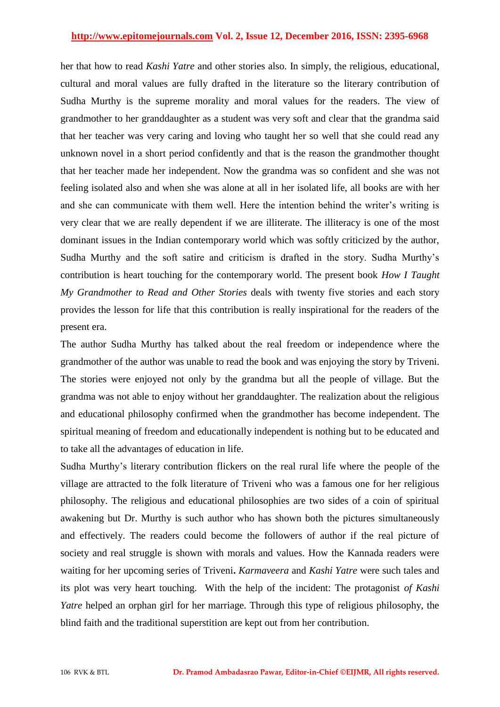her that how to read *Kashi Yatre* and other stories also. In simply, the religious, educational, cultural and moral values are fully drafted in the literature so the literary contribution of Sudha Murthy is the supreme morality and moral values for the readers. The view of grandmother to her granddaughter as a student was very soft and clear that the grandma said that her teacher was very caring and loving who taught her so well that she could read any unknown novel in a short period confidently and that is the reason the grandmother thought that her teacher made her independent. Now the grandma was so confident and she was not feeling isolated also and when she was alone at all in her isolated life, all books are with her and she can communicate with them well. Here the intention behind the writer's writing is very clear that we are really dependent if we are illiterate. The illiteracy is one of the most dominant issues in the Indian contemporary world which was softly criticized by the author, Sudha Murthy and the soft satire and criticism is drafted in the story. Sudha Murthy"s contribution is heart touching for the contemporary world. The present book *How I Taught My Grandmother to Read and Other Stories* deals with twenty five stories and each story provides the lesson for life that this contribution is really inspirational for the readers of the present era.

The author Sudha Murthy has talked about the real freedom or independence where the grandmother of the author was unable to read the book and was enjoying the story by Triveni. The stories were enjoyed not only by the grandma but all the people of village. But the grandma was not able to enjoy without her granddaughter. The realization about the religious and educational philosophy confirmed when the grandmother has become independent. The spiritual meaning of freedom and educationally independent is nothing but to be educated and to take all the advantages of education in life.

Sudha Murthy"s literary contribution flickers on the real rural life where the people of the village are attracted to the folk literature of Triveni who was a famous one for her religious philosophy. The religious and educational philosophies are two sides of a coin of spiritual awakening but Dr. Murthy is such author who has shown both the pictures simultaneously and effectively. The readers could become the followers of author if the real picture of society and real struggle is shown with morals and values. How the Kannada readers were waiting for her upcoming series of Triveni**.** *Karmaveera* and *Kashi Yatre* were such tales and its plot was very heart touching. With the help of the incident: The protagonist *of Kashi Yatre* helped an orphan girl for her marriage. Through this type of religious philosophy, the blind faith and the traditional superstition are kept out from her contribution.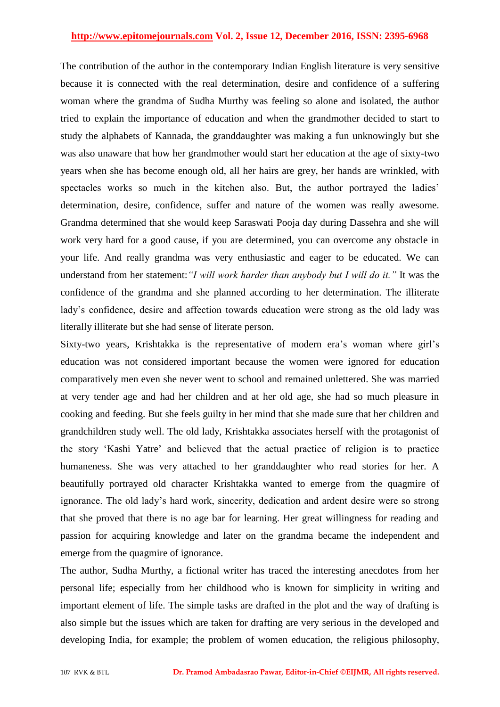The contribution of the author in the contemporary Indian English literature is very sensitive because it is connected with the real determination, desire and confidence of a suffering woman where the grandma of Sudha Murthy was feeling so alone and isolated, the author tried to explain the importance of education and when the grandmother decided to start to study the alphabets of Kannada, the granddaughter was making a fun unknowingly but she was also unaware that how her grandmother would start her education at the age of sixty-two years when she has become enough old, all her hairs are grey, her hands are wrinkled, with spectacles works so much in the kitchen also. But, the author portrayed the ladies' determination, desire, confidence, suffer and nature of the women was really awesome. Grandma determined that she would keep Saraswati Pooja day during Dassehra and she will work very hard for a good cause, if you are determined, you can overcome any obstacle in your life. And really grandma was very enthusiastic and eager to be educated. We can understand from her statement:*"I will work harder than anybody but I will do it."* It was the confidence of the grandma and she planned according to her determination. The illiterate lady"s confidence, desire and affection towards education were strong as the old lady was literally illiterate but she had sense of literate person.

Sixty-two years, Krishtakka is the representative of modern era's woman where girl's education was not considered important because the women were ignored for education comparatively men even she never went to school and remained unlettered. She was married at very tender age and had her children and at her old age, she had so much pleasure in cooking and feeding. But she feels guilty in her mind that she made sure that her children and grandchildren study well. The old lady, Krishtakka associates herself with the protagonist of the story "Kashi Yatre" and believed that the actual practice of religion is to practice humaneness. She was very attached to her granddaughter who read stories for her. A beautifully portrayed old character Krishtakka wanted to emerge from the quagmire of ignorance. The old lady"s hard work, sincerity, dedication and ardent desire were so strong that she proved that there is no age bar for learning. Her great willingness for reading and passion for acquiring knowledge and later on the grandma became the independent and emerge from the quagmire of ignorance.

The author, Sudha Murthy, a fictional writer has traced the interesting anecdotes from her personal life; especially from her childhood who is known for simplicity in writing and important element of life. The simple tasks are drafted in the plot and the way of drafting is also simple but the issues which are taken for drafting are very serious in the developed and developing India, for example; the problem of women education, the religious philosophy,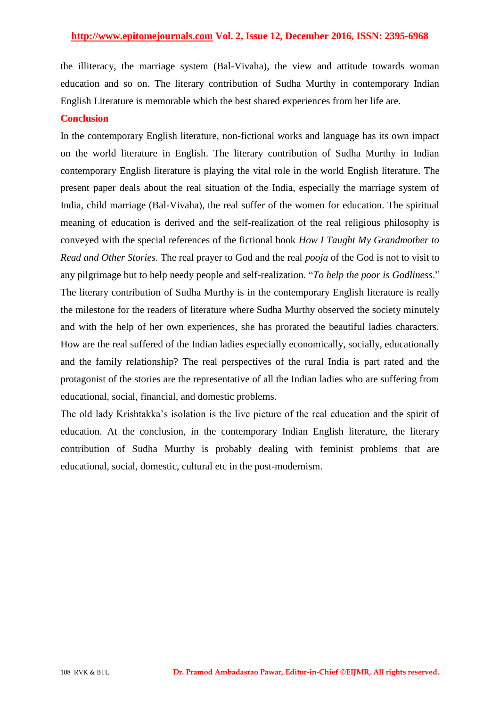the illiteracy, the marriage system (Bal-Vivaha), the view and attitude towards woman education and so on. The literary contribution of Sudha Murthy in contemporary Indian English Literature is memorable which the best shared experiences from her life are.

### **Conclusion**

In the contemporary English literature, non-fictional works and language has its own impact on the world literature in English. The literary contribution of Sudha Murthy in Indian contemporary English literature is playing the vital role in the world English literature. The present paper deals about the real situation of the India, especially the marriage system of India, child marriage (Bal-Vivaha), the real suffer of the women for education. The spiritual meaning of education is derived and the self-realization of the real religious philosophy is conveyed with the special references of the fictional book *How I Taught My Grandmother to Read and Other Stories*. The real prayer to God and the real *pooja* of the God is not to visit to any pilgrimage but to help needy people and self-realization. "*To help the poor is Godliness*." The literary contribution of Sudha Murthy is in the contemporary English literature is really the milestone for the readers of literature where Sudha Murthy observed the society minutely and with the help of her own experiences, she has prorated the beautiful ladies characters. How are the real suffered of the Indian ladies especially economically, socially, educationally and the family relationship? The real perspectives of the rural India is part rated and the protagonist of the stories are the representative of all the Indian ladies who are suffering from educational, social, financial, and domestic problems.

The old lady Krishtakka"s isolation is the live picture of the real education and the spirit of education. At the conclusion, in the contemporary Indian English literature, the literary contribution of Sudha Murthy is probably dealing with feminist problems that are educational, social, domestic, cultural etc in the post-modernism.